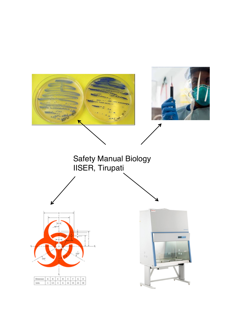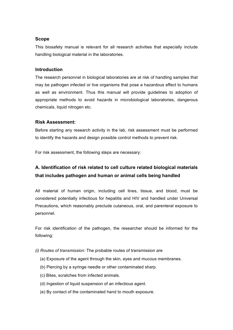# **Scope**

This biosafety manual is relevant for all research activities that especially include handling biological material in the laboratories.

# **Introduction**

The research personnel in biological laboratories are at risk of handling samples that may be pathogen infected or live organisms that pose a hazardous effect to humans as well as environment. Thus this manual will provide guidelines to adoption of appropriate methods to avoid hazards in microbiological laboratories, dangerous chemicals, liquid nitrogen etc.

# **Risk Assessment:**

Before starting any research activity in the lab, risk assessment must be performed to identify the hazards and design possible control methods to prevent risk.

For risk assessment, the following steps are necessary:

# **A. Identification of risk related to cell culture related biological materials that includes pathogen and human or animal cells being handled**

All material of human origin, including cell lines, tissue, and blood, must be considered potentially infectious for hepatitis and HIV and handled under Universal Precautions, which reasonably preclude cutaneous, oral, and parenteral exposure to personnel.

For risk identification of the pathogen, the researcher should be informed for the following:

- *(i) Routes of transmission:* The probable routes of transmission are
	- (a) Exposure of the agent through the skin, eyes and mucous membranes.
	- (b) Piercing by a syringe needle or other contaminated sharp.
	- (c) Bites, scratches from infected animals.
	- (d) Ingestion of liquid suspension of an infectious agent.
	- (e) By contact of the contaminated hand to mouth exposure.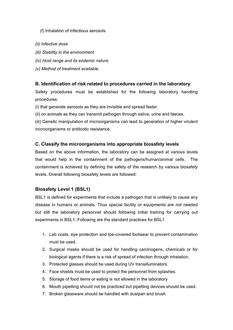(f) Inhalation of infectious aerosols

- *(ii) Infective dose*
- *(iii) Stability in the environment*
- *(iv) Host range and its endemic nature.*
- *(v) Method of treatment available*.

#### **B. Identification of risk related to procedures carried in the laboratory**

Safety procedures must be established for the following laboratory handling procedures:

(i) that generate aerosols as they are invisible and spread faster.

(ii) on animals as they can transmit pathogen through saliva, urine and faeces.

(iii) Genetic manipulation of microorganisms can lead to generation of higher virulent microorganisms or antibiotic resistance.

#### **C. Classify the microorganisms into appropriate biosafety levels**

Based on the above information, the laboratory can be assigned at various levels that would help in the containment of the pathogens/human/animal cells. The containment is achieved by defining the safety of the research by various biosafety levels. Overall following biosafety levels are followed:

## **Biosafety Level 1 (BSL1)**

BSL1 is defined for experiments that include a pathogen that is unlikely to cause any disease in humans or animals. Thus special facility or equipments are not needed but still the laboratory personnel should following initial training for carrying out experiments in BSL1. Following are the standard practices for BSL1

- 1. Lab coats, eye protection and toe-covered footwear to prevent contamination must be used.
- 2. Surgical masks should be used for handling carcinogens, chemicals or for biological agents if there is a risk of spread of infection through inhalation.
- 3. Protected glasses should be used during UV transilluminators.
- 4. Face shields must be used to protect the personnel from splashes.
- 5. Storage of food items or eating is not allowed in the laboratory
- 6. Mouth pipetting should not be practiced but pipetting devices should be used.
- 7. Broken glassware should be handled with dustpan and brush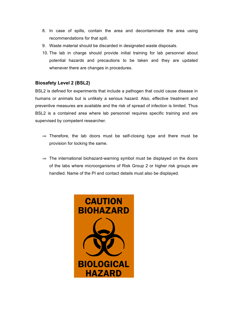- 8. In case of spills, contain the area and decontaminate the area using recommendations for that spill.
- 9. Waste material should be discarded in designated waste disposals.
- 10. The lab in charge should provide initial training for lab personnel about potential hazards and precautions to be taken and they are updated whenever there are changes in procedures.

# **Biosafety Level 2 (BSL2)**

BSL2 is defined for experiments that include a pathogen that could cause disease in humans or animals but is unlikely a serious hazard. Also, effective treatment and preventive measures are available and the risk of spread of infection is limited. Thus BSL2 is a contained area where lab personnel requires specific training and are supervised by competent researcher.

- ⇒ Therefore, the lab doors must be self-closing type and there must be provision for locking the same.
- ⇒ The international biohazard-warning symbol must be displayed on the doors of the labs where microorganisms of Risk Group 2 or higher risk groups are handled. Name of the PI and contact details must also be displayed.

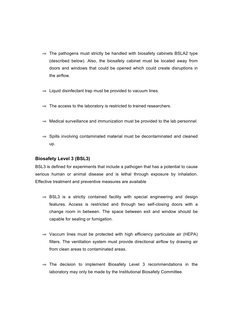- $\Rightarrow$  The pathogens must strictly be handled with biosafety cabinets BSLA2 type (described below). Also, the biosafety cabinet must be located away from doors and windows that could be opened which could create disruptions in the airflow.
- $\Rightarrow$  Liquid disinfectant trap must be provided to vacuum lines.
- $\Rightarrow$  The access to the laboratory is restricted to trained researchers.
- $\Rightarrow$  Medical surveillance and immunization must be provided to the lab personnel.
- ⇒ Spills involving contaminated material must be decontaminated and cleaned up.

# **Biosafety Level 3 (BSL3)**

BSL3 is defined for experiments that include a pathogen that has a potential to cause serious human or animal disease and is lethal through exposure by inhalation. Effective treatment and preventive measures are available

- $\Rightarrow$  BSL3 is a strictly contained facility with special engineering and design features. Access is restricted and through two self-closing doors with a change room in between. The space between exit and window should be capable for sealing or fumigation.
- $\Rightarrow$  Vaccum lines must be protected with high efficiency particulate air (HEPA) filters. The ventilation system must provide directional airflow by drawing air from clean areas to contaminated areas.
- ⇒ The decision to implement Biosafety Level 3 recommendations in the laboratory may only be made by the Institutional Biosafety Committee.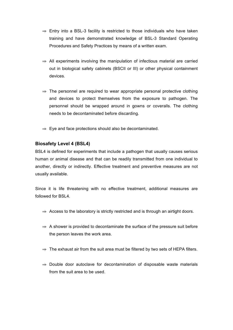- $\Rightarrow$  Entry into a BSL-3 facility is restricted to those individuals who have taken training and have demonstrated knowledge of BSL-3 Standard Operating Procedures and Safety Practices by means of a written exam.
- $\Rightarrow$  All experiments involving the manipulation of infectious material are carried out in biological safety cabinets (BSCII or III) or other physical containment devices.
- $\Rightarrow$  The personnel are required to wear appropriate personal protective clothing and devices to protect themselves from the exposure to pathogen. The personnel should be wrapped around in gowns or coveralls. The clothing needs to be decontaminated before discarding.
- $\Rightarrow$  Eye and face protections should also be decontaminated.

# **Biosafety Level 4 (BSL4)**

BSL4 is defined for experiments that include a pathogen that usually causes serious human or animal disease and that can be readily transmitted from one individual to another, directly or indirectly. Effective treatment and preventive measures are not usually available.

Since it is life threatening with no effective treatment, additional measures are followed for BSL4.

- ⇒ Access to the laboratory is strictly restricted and is through an airtight doors.
- $\Rightarrow$  A shower is provided to decontaminate the surface of the pressure suit before the person leaves the work area.
- ⇒ The exhaust air from the suit area must be filtered by two sets of HEPA filters.
- ⇒ Double door autoclave for decontamination of disposable waste materials from the suit area to be used.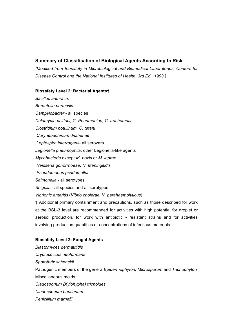# **Summary of Classification of Biological Agents According to Risk**

*(Modified from Biosafety in Microbiological and Biomedical Laboratories, Centers for Disease Control and the National Institutes of Health, 3rd Ed., 1993.)* 

### **Biosafety Level 2: Bacterial Agents†**

*Bacillus anthracis Bordetella pertussis Campylobacter* - all species *Chlamydia psittaci, C. Pneumoniae, C. trachomatis Clostridium botulinum, C. tetani Corynebacterium diptheriae Leptospira interrogans*- all serovars *Legionella pneumophila*; other Legionella-like agents *Mycobacteria* except *M. bovis* or *M. leprae Neisseria gonorrhoeae, N. Meningitidis Pseudomonas psudomallei Salmonella* - all serotypes *Shigella* - all species and all serotypes *Vibrionic enteritis* (*Vibrio cholerae, V. parahaemolyticus*) † Additional primary containment and precautions, such as those described for work at the BSL-3 level are recommended for activities with high potential for droplet or aerosol production, for work with antibiotic - resistant strains and for activities

## **Biosafety Level 2: Fungal Agents**

*Blastomyces dermatitidis Cryptococcus neoformans Sporothrix schenckii*  Pathogenic members of the genera *Epidermophyton, Microsporum* and *Trichophyton*  Miscellaneous molds *Cladosporium (Xylohypha) trichoides Cladosporium bantianum Penicillium marnefii*

involving production quantities or concentrations of infectious materials.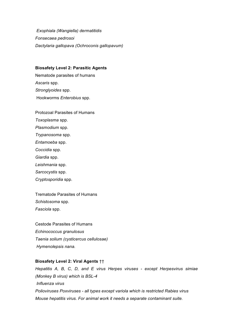*Exophiala (Wangiella) dermatitidis Fonsecaea pedrosoi Dactylaria gallopava (Ochroconis gallopavum)*

#### **Biosafety Level 2: Parasitic Agents**

Nematode parasites of humans *Ascaris* spp. *Stronglyoides* spp. Hookworms *Enterobius* spp.

Protozoal Parasites of Humans *Toxoplasma* spp. *Plasmodium* spp. *Trypanosoma* spp. *Entamoeba* spp. *Coccidia* spp. *Giardia* spp. *Leishmania* spp. *Sarcocystis* spp. *Cryptosporidia* spp.

Trematode Parasites of Humans *Schistosoma* spp. *Fasciola* spp.

Cestode Parasites of Humans *Echinococcus granulosus Taenia solium (cysticercus cellulosae) Hymenolepsis nana.* 

## **Biosafety Level 2: Viral Agents** ††

*Hepatitis A, B, C, D, and E virus Herpes viruses - except Herpesvirus simiae (Monkey B virus) which is BSL-4 Influenza virus Polioviruses Poxviruses - all types except variola which is restricted Rabies virus Mouse hepatitis virus. For animal work it needs a separate contaminant suite.*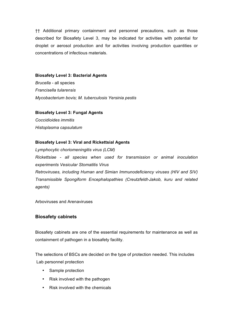†† Additional primary containment and personnel precautions, such as those described for Biosafety Level 3, may be indicated for activities with potential for droplet or aerosol production and for activities involving production quantities or concentrations of infectious materials.

#### **Biosafety Level 3: Bacterial Agents**

*Brucella* - all species *Francisella tularensis Mycobacterium bovis; M. tuberculosis Yersinia pestis* 

### **Biosafety Level 3: Fungal Agents**

*Coccidioides immitis Histoplasma capsulatum* 

### **Biosafety Level 3: Viral and Rickettsial Agents**

*Lymphocytic choriomeningitis virus (LCM) Rickettsiae - all species when used for transmission or animal inoculation experiments Vesicular Stomatitis Virus* 

*Retroviruses, including Human and Simian Immunodeficiency viruses (HIV and SIV) Transmissible Spongiform Encephalopathies (Creutzfeldt-Jakob, kuru and related agents)* 

Arboviruses and Arenaviruses

### **Biosafety cabinets**

Biosafety cabinets are one of the essential requirements for maintenance as well as containment of pathogen in a biosafety facility.

The selections of BSCs are decided on the type of protection needed. This includes Lab personnel protection

- Sample protection
- Risk involved with the pathogen
- Risk involved with the chemicals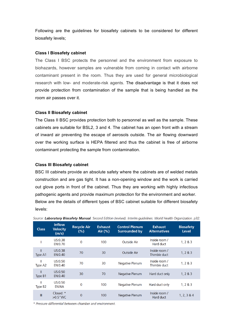Following are the guidelines for biosafety cabinets to be considered for different biosafety levels;

#### **Class I Biosafety cabinet**

The Class I BSC protects the personnel and the environment from exposure to biohazards, however samples are vulnerable from coming in contact with airborne contaminant present in the room. Thus they are used for general microbiological research with low- and moderate-risk agents. The disadvantage is that it does not provide protection from contamination of the sample that is being handled as the room air passes over it.

#### **Class II Biosafety cabinet**

The Class II BSC provides protection both to personnel as well as the sample. These cabinets are suitable for BSL2, 3 and 4. The cabinet has an open front with a stream of inward air preventing the escape of aerosols outside. The air flowing downward over the working surface is HEPA filtered and thus the cabinet is free of airborne contaminant protecting the sample from contamination.

#### **Class III Biosafety cabinet**

BSC III cabinets provide an absolute safety where the cabinets are of welded metals construction and are gas tight. It has a non-opening window and the work is carried out glove ports in front of the cabinet. Thus they are working with highly infectious pathogenic agents and provide maximum protection for the environment and worker. Below are the details of different types of BSC cabinet suitable for different biosafety levels:

| <b>Class</b>             | <b>Inflow</b><br><b>Velocity</b><br>(m/s) | <b>Recycle Air</b><br>$(\% )$ | <b>Exhaust</b><br>Air $(\%)$ | <b>Control Plenum</b><br><b>Surrounded by</b> | <b>Exhaust</b><br><b>Alternatives</b> | <b>Biosafety</b><br><b>Level</b> |
|--------------------------|-------------------------------------------|-------------------------------|------------------------------|-----------------------------------------------|---------------------------------------|----------------------------------|
|                          | US:0.38<br>EN:0.70                        | 0                             | 100                          | <b>Outside Air</b>                            | Inside room /<br>Hard duct            | 1, 2 & 8 & 3                     |
| Ш<br>Type A1             | US:0.38<br>EN:0.40                        | 70                            | 30                           | <b>Outside Air</b>                            | Inside room /<br>Thimble duct         | 1, 2 & 3                         |
| Ш<br>Type A2             | US:0.50<br>EN:0.40                        | 70                            | 30                           | Negative Plenum                               | Inside room /<br>Thimble duct         | 1, 2 & 8 & 3                     |
| Ш<br>Type B1             | US:0.50<br>EN:0.40                        | 30                            | 70                           | Negative Plenum                               | Hard duct only                        | 1, 2 & 3                         |
| Ш<br>Type B <sub>2</sub> | US:0.50<br>EN:NA                          | 0                             | 100                          | Negative Plenum                               | Hard duct only                        | 1, 2 & 8 & 3                     |
| $\mathbb{I}$             | Closed: *<br>$>0.5$ "WC                   | $\overline{0}$                | 100                          | <b>Negative Plenum</b>                        | Inside room /<br>Hard duct            | 1, 2, 3 & 4                      |

Source: Laboratory Biosafety Manual. Second Edition (revised). Interim quidelines. World Health Organization. p32.

\* Pressure differential between chamber and environment.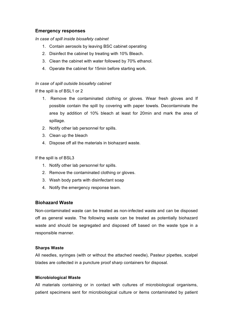## **Emergency responses**

*In case of spill inside biosafety cabinet*

- 1. Contain aerosols by leaving BSC cabinet operating
- 2. Disinfect the cabinet by treating with 10% Bleach.
- 3. Clean the cabinet with water followed by 70% ethanol.
- 4. Operate the cabinet for 15min before starting work.

### *In case of spill outside biosafety cabinet*

If the spill is of BSL1 or 2

- 1. Remove the contaminated clothing or gloves. Wear fresh gloves and If possible contain the spill by covering with paper towels. Decontaminate the area by addition of 10% bleach at least for 20min and mark the area of spillage.
- 2. Notify other lab personnel for spills.
- 3. Clean up the bleach
- 4. Dispose off all the materials in biohazard waste.

If the spill is of BSL3

- 1. Notify other lab personnel for spills.
- 2. Remove the contaminated clothing or gloves.
- 3. Wash body parts with disinfectant soap
- 4. Notify the emergency response team.

# **Biohazard Waste**

Non-contaminated waste can be treated as non-infected waste and can be disposed off as general waste. The following waste can be treated as potentially biohazard waste and should be segregated and disposed off based on the waste type in a responsible manner.

### **Sharps Waste**

All needles, syringes (with or without the attached needle), Pasteur pipettes, scalpel blades are collected in a puncture proof sharp containers for disposal.

### **Microbiological Waste**

All materials containing or in contact with cultures of microbiological organisms, patient specimens sent for microbiological culture or items contaminated by patient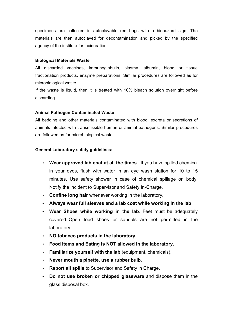specimens are collected in autoclavable red bags with a biohazard sign. The materials are then autoclaved for decontamination and picked by the specified agency of the institute for incineration.

### **Biological Materials Waste**

All discarded vaccines, immunoglobulin, plasma, albumin, blood or tissue fractionation products, enzyme preparations. Similar procedures are followed as for microbiological waste.

If the waste is liquid, then it is treated with 10% bleach solution overnight before discarding.

### **Animal Pathogen Contaminated Waste**

All bedding and other materials contaminated with blood, excreta or secretions of animals infected with transmissible human or animal pathogens. Similar procedures are followed as for microbiological waste.

### **General Laboratory safety guidelines:**

- **Wear approved lab coat at all the times**. If you have spilled chemical in your eyes, flush with water in an eye wash station for 10 to 15 minutes. Use safety shower in case of chemical spillage on body. Notify the incident to Supervisor and Safety In-Charge.
- **Confine long hair** whenever working in the laboratory.
- **Always wear full sleeves and a lab coat while working in the lab**
- **Wear Shoes while working in the lab**. Feet must be adequately covered. Open toed shoes or sandals are not permitted in the laboratory.
- **NO tobacco products in the laboratory**.
- **Food items and Eating is NOT allowed in the laboratory**.
- **Familiarize yourself with the lab** (equipment, chemicals).
- **Never mouth a pipette, use a rubber bulb**.
- **Report all spills** to Supervisor and Safety in Charge.
- **Do not use broken or chipped glassware** and dispose them in the glass disposal box.